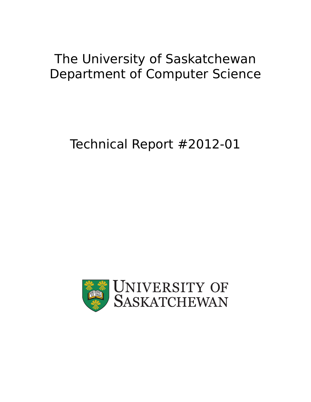## The University of Saskatchewan Department of Computer Science

# Technical Report #2012-01

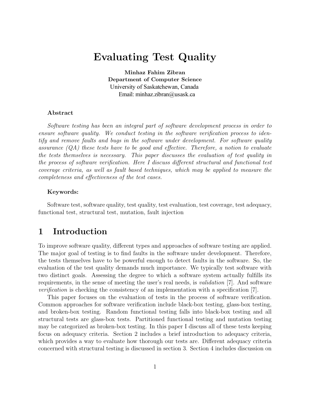## Evaluating Test Quality

Minhaz Fahim Zibran Department of Computer Science University of Saskatchewan, Canada Email: minhaz.zibran@usask.ca

#### Abstract

Software testing has been an integral part of software development process in order to ensure software quality. We conduct testing in the software verification process to identify and remove faults and bugs in the software under development. For software quality assurance  $(QA)$  these tests have to be good and effective. Therefore, a notion to evaluate the tests themselves is necessary. This paper discusses the evaluation of test quality in the process of software verification. Here I discuss different structural and functional test coverage criteria, as well as fault based techniques, which may be applied to measure the completeness and effectiveness of the test cases.

#### Keywords:

Software test, software quality, test quality, test evaluation, test coverage, test adequacy, functional test, structural test, mutation, fault injection

### 1 Introduction

To improve software quality, different types and approaches of software testing are applied. The major goal of testing is to find faults in the software under development. Therefore, the tests themselves have to be powerful enough to detect faults in the software. So, the evaluation of the test quality demands much importance. We typically test software with two distinct goals. Assessing the degree to which a software system actually fulfills its requirements, in the sense of meeting the user's real needs, is validation [7]. And software verification is checking the consistency of an implementation with a specification [7].

This paper focuses on the evaluation of tests in the process of software verification. Common approaches for software verification include black-box testing, glass-box testing, and broken-box testing. Random functional testing falls into black-box testing and all structural tests are glass-box tests. Partitioned functional testing and mutation testing may be categorized as broken-box testing. In this paper I discuss all of these tests keeping focus on adequacy criteria. Section 2 includes a brief introduction to adequacy criteria, which provides a way to evaluate how thorough our tests are. Different adequacy criteria concerned with structural testing is discussed in section 3. Section 4 includes discussion on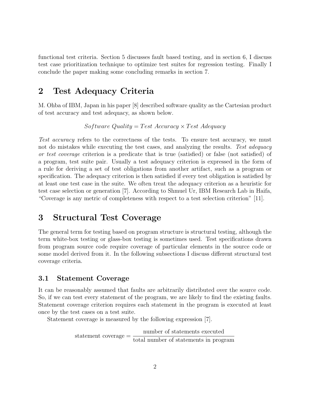functional test criteria. Section 5 discusses fault based testing, and in section 6, I discuss test case prioritization technique to optimize test suites for regression testing. Finally I conclude the paper making some concluding remarks in section 7.

## 2 Test Adequacy Criteria

M. Ohba of IBM, Japan in his paper [8] described software quality as the Cartesian product of test accuracy and test adequacy, as shown below.

*Sof tware Quality* = *T est Accuracy* × *T est Adequacy*

Test accuracy refers to the correctness of the tests. To ensure test accuracy, we must not do mistakes while executing the test cases, and analyzing the results. Test adequacy or test coverage criterion is a predicate that is true (satisfied) or false (not satisfied) of a program, test suite pair. Usually a test adequacy criterion is expressed in the form of a rule for deriving a set of test obligations from another artifact, such as a program or specification. The adequacy criterion is then satisfied if every test obligation is satisfied by at least one test case in the suite. We often treat the adequacy criterion as a heuristic for test case selection or generation [7]. According to Shmuel Ur, IBM Research Lab in Haifa, "Coverage is any metric of completeness with respect to a test selection criterion" [11].

## 3 Structural Test Coverage

The general term for testing based on program structure is structural testing, although the term white-box testing or glass-box testing is sometimes used. Test specifications drawn from program source code require coverage of particular elements in the source code or some model derived from it. In the following subsections I discuss different structural test coverage criteria.

#### 3.1 Statement Coverage

It can be reasonably assumed that faults are arbitrarily distributed over the source code. So, if we can test every statement of the program, we are likely to find the existing faults. Statement coverage criterion requires each statement in the program is executed at least once by the test cases on a test suite.

Statement coverage is measured by the following expression [7].

statement coverage = number of statements executed total number of statements in program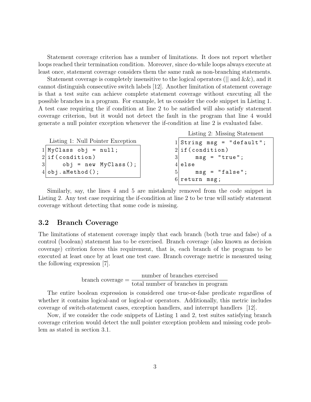Statement coverage criterion has a number of limitations. It does not report whether loops reached their termination condition. Moreover, since do-while loops always execute at least once, statement coverage considers them the same rank as non-branching statements.

Statement coverage is completely insensitive to the logical operators ( $\parallel$  and  $\&\&$ ), and it cannot distinguish consecutive switch labels [12]. Another limitation of statement coverage is that a test suite can achieve complete statement coverage without executing all the possible branches in a program. For example, let us consider the code snippet in Listing 1. A test case requiring the if condition at line 2 to be satisfied will also satisfy statement coverage criterion, but it would not detect the fault in the program that line 4 would generate a null pointer exception whenever the if-condition at line 2 is evaluated false.

```
Listing 1: Null Pointer Exception
1| MyClass obj = null;
2 if (condition)
3 obj = new MyClass();
4 obj.aMethod();
```
Listing 2: Missing Statement

```
String msg = "default";2 \vert if (condition)
3 msg = "true";
4 else
5 msg = "false";
 return msg;
```
Similarly, say, the lines 4 and 5 are mistakenly removed from the code snippet in Listing 2. Any test case requiring the if-condition at line 2 to be true will satisfy statement coverage without detecting that some code is missing.

#### 3.2 Branch Coverage

The limitations of statement coverage imply that each branch (both true and false) of a control (boolean) statement has to be exercised. Branch coverage (also known as decision coverage) criterion forces this requirement, that is, each branch of the program to be executed at least once by at least one test case. Branch coverage metric is measured using the following expression [7].

$$
branch coverage = \frac{number of branches exercised}{total number of branches in program}
$$

The entire boolean expression is considered one true-or-false predicate regardless of whether it contains logical-and or logical-or operators. Additionally, this metric includes coverage of switch-statement cases, exception handlers, and interrupt handlers [12].

Now, if we consider the code snippets of Listing 1 and 2, test suites satisfying branch coverage criterion would detect the null pointer exception problem and missing code problem as stated in section 3.1.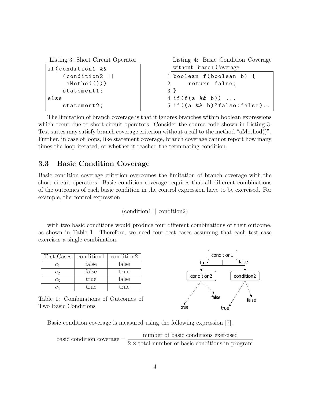```
Listing 3: Short Circuit Operator
if(condition1 &&
     (condition2 ||
      aMethod()))
     statement1;
else
     statement2;
                                          Listing 4: Basic Condition Coverage
                                          without Branch Coverage
                                        1boolean f(boolean b) {
                                        2 return false;
                                        3 \mid }
                                        4 \mid \text{if}(f(a \& b)) \dots5 \mid if((a \& b)? false : false).
```
The limitation of branch coverage is that it ignores branches within boolean expressions which occur due to short-circuit operators. Consider the source code shown in Listing 3. Test suites may satisfy branch coverage criterion without a call to the method "aMethod()". Further, in case of loops, like statement coverage, branch coverage cannot report how many times the loop iterated, or whether it reached the terminating condition.

#### 3.3 Basic Condition Coverage

Basic condition coverage criterion overcomes the limitation of branch coverage with the short circuit operators. Basic condition coverage requires that all different combinations of the outcomes of each basic condition in the control expression have to be exercised. For example, the control expression

(condition1 || condition2)

with two basic conditions would produce four different combinations of their outcome, as shown in Table 1. Therefore, we need four test cases assuming that each test case exercises a single combination.

| Test Cases   | condition1 | condition2 |
|--------------|------------|------------|
| C1           | false      | false      |
| $c_2$        | false      | true       |
| $c_3$        | true       | false      |
| $\it{c}_{4}$ | true       | true       |

Table 1: Combinations of Outcomes of Two Basic Conditions



Basic condition coverage is measured using the following expression [7].

basic condition coverage  $=$  number of basic conditions exercised  $2 \times$  total number of basic conditions in program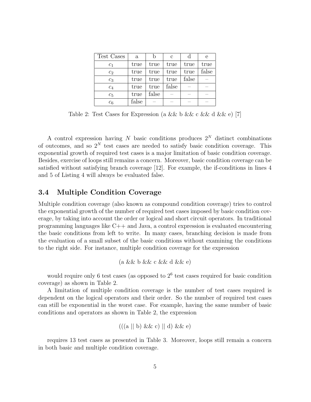| Test Cases       | $\mathbf{a}$ |       | С     | α     | e     |
|------------------|--------------|-------|-------|-------|-------|
| c <sub>1</sub>   | true         | true  | true  | true  | true  |
| c <sub>2</sub>   | true         | true  | true  | true  | false |
| $c_3$            | true         | true  | true  | false |       |
| $\mathfrak{c}_4$ | true         | true  | false |       |       |
| $c_5$            | true         | false |       |       |       |
| $\overline{c}_6$ | false        |       |       |       |       |

Table 2: Test Cases for Expression (a && b && c && d && e) [7]

A control expression having *N* basic conditions produces 2*<sup>N</sup>* distinct combinations of outcomes, and so  $2^N$  test cases are needed to satisfy basic condition coverage. This exponential growth of required test cases is a major limitation of basic condition coverage. Besides, exercise of loops still remains a concern. Moreover, basic condition coverage can be satisfied without satisfying branch coverage [12]. For example, the if-conditions in lines 4 and 5 of Listing 4 will always be evaluated false.

#### 3.4 Multiple Condition Coverage

Multiple condition coverage (also known as compound condition coverage) tries to control the exponential growth of the number of required test cases imposed by basic condition coverage, by taking into account the order or logical and short circuit operators. In traditional programming languages like C++ and Java, a control expression is evaluated encountering the basic conditions from left to write. In many cases, branching decision is made from the evaluation of a small subset of the basic conditions without examining the conditions to the right side. For instance, multiple condition coverage for the expression

$$
(a \&& b \&& c \&& d \&& e)
$$

would require only 6 test cases (as opposed to  $2<sup>6</sup>$  test cases required for basic condition coverage) as shown in Table 2.

A limitation of multiple condition coverage is the number of test cases required is dependent on the logical operators and their order. So the number of required test cases can still be exponential in the worst case. For example, having the same number of basic conditions and operators as shown in Table 2, the expression

$$
((a \parallel b) \&c) \parallel d) \&c)
$$

requires 13 test cases as presented in Table 3. Moreover, loops still remain a concern in both basic and multiple condition coverage.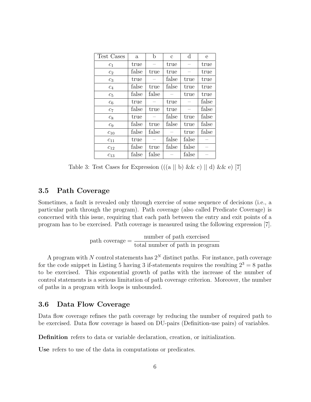| Test Cases     | $\mathbf{a}$ | b     | $\mathbf{c}$ | $\rm d$ | e     |
|----------------|--------------|-------|--------------|---------|-------|
| $c_1$          | true         |       | true         |         | true  |
| c <sub>2</sub> | false        | true  | true         |         | true  |
| $c_3$          | true         |       | false        | true    | true  |
| $c_4$          | false        | true  | false        | true    | true  |
| $c_5$          | false        | false |              | true    | true  |
| $c_6$          | true         |       | true         |         | false |
| $c_7$          | false        | true  | true         |         | false |
| $c_8$          | true         |       | false        | true    | false |
| $c_9$          | false        | true  | false        | true    | false |
| $c_{10}$       | false        | false |              | true    | false |
| $c_{11}$       | true         |       | false        | false   |       |
| $c_{12}$       | false        | true  | false        | false   |       |
| $c_{13}$       | false        | false |              | false   |       |

Table 3: Test Cases for Expression  $((a || b) \&c c) || d) \&c c$  [7]

#### 3.5 Path Coverage

Sometimes, a fault is revealed only through exercise of some sequence of decisions (i.e., a particular path through the program). Path coverage (also called Predicate Coverage) is concerned with this issue, requiring that each path between the entry and exit points of a program has to be exercised. Path coverage is measured using the following expression [7].

$$
path coverage = \frac{number of path exercised}{total number of path in program}
$$

A program with *N* control statements has  $2^N$  distinct paths. For instance, path coverage for the code snippet in Listing 5 having 3 if-statements requires the resulting  $2^3 = 8$  paths to be exercised. This exponential growth of paths with the increase of the number of control statements is a serious limitation of path coverage criterion. Moreover, the number of paths in a program with loops is unbounded.

#### 3.6 Data Flow Coverage

Data flow coverage refines the path coverage by reducing the number of required path to be exercised. Data flow coverage is based on DU-pairs (Definition-use pairs) of variables.

Definition refers to data or variable declaration, creation, or initialization.

Use refers to use of the data in computations or predicates.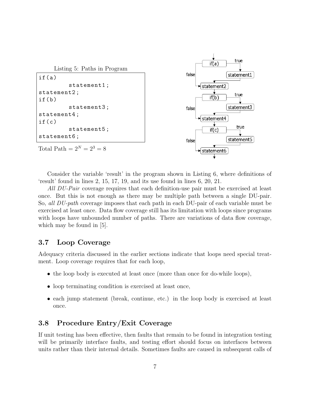

Consider the variable 'result' in the program shown in Listing 6, where definitions of 'result' found in lines 2, 15, 17, 19, and its use found in lines 6, 20, 21.

All DU-Pair coverage requires that each definition-use pair must be exercised at least once. But this is not enough as there may be multiple path between a single DU-pair. So, all DU-path coverage imposes that each path in each DU-pair of each variable must be exercised at least once. Data flow coverage still has its limitation with loops since programs with loops have unbounded number of paths. There are variations of data flow coverage, which may be found in [5].

#### 3.7 Loop Coverage

Adequacy criteria discussed in the earlier sections indicate that loops need special treatment. Loop coverage requires that for each loop,

- the loop body is executed at least once (more than once for do-while loops),
- loop terminating condition is exercised at least once,
- each jump statement (break, continue, etc.) in the loop body is exercised at least once.

#### 3.8 Procedure Entry/Exit Coverage

If unit testing has been effective, then faults that remain to be found in integration testing will be primarily interface faults, and testing effort should focus on interfaces between units rather than their internal details. Sometimes faults are caused in subsequent calls of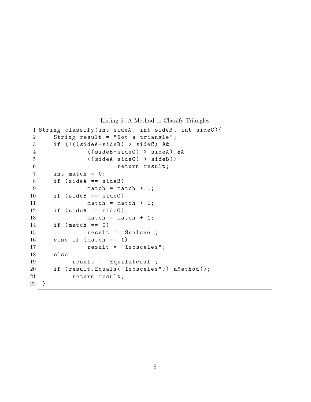Listing 6: A Method to Classify Triangles

```
1 String classify(int sideA , int sideB , int sideC){
2 String result = "Not a triangle";
3 if (!((sideA+sideB) > sideC) &&
4 ((sideB+sideC) > sideA) &&
5 ((sideA+sideC) > sideB))
6 return result;
7 int match = 0;
8 if (sideA == sideB)
9 match = match + 1;
10 if (sideB == sideC)
11 match = match + 1;
12 if (sideA == sideC)
13 match = match + 1;
14 if (match == 0)
15 result = "Scalene";
16 else if (match == 1)
17 result = "Isosceles";
18 else
19 result = "Equilateral";
20 if (result.Equals("Isosceles")) aMethod();
21 return result;
22 }
```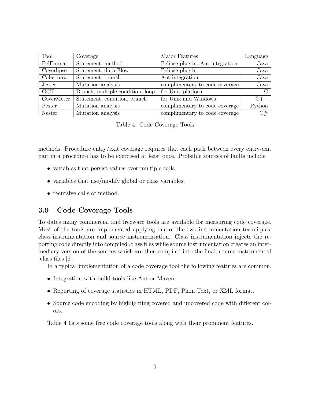| Tool       | Coverage                         | Major Features                   | Language      |
|------------|----------------------------------|----------------------------------|---------------|
| EclEmma    | Statement, method                | Eclipse plug-in, Ant integration | Java          |
| Coverlipse | Statement, data Flow             | Eclipse plug-in                  | Java          |
| Cobertura  | Statement, branch                | Ant integration                  | Java          |
| Jester     | Mutation analysis                | complimentary to code coverage   | Java          |
| <b>GCT</b> | Branch, multiple-condition, loop | for Unix platform                | $\mathcal{C}$ |
| CoverMeter | Statement, condition, branch     | for Unix and Windows             | C++           |
| Pester     | Mutation analysis                | complimentary to code coverage   | Python        |
| Nester     | Mutation analysis                | complimentary to code coverage   | C#            |

Table 4: Code Coverage Tools

methods. Procedure entry/exit coverage requires that each path between every entry-exit pair in a procedure has to be exercised at least once. Probable sources of faults include

- variables that persist values over multiple calls,
- variables that use/modify global or class variables,
- recursive calls of method.

#### 3.9 Code Coverage Tools

To dates many commercial and freeware tools are available for measuring code coverage. Most of the tools are implemented applying one of the two instrumentation techniques: class instrumentation and source instrumentation. Class instrumentation injects the reporting code directly into compiled .class files while source instrumentation creates an intermediary version of the sources which are then compiled into the final, source-instrumented .class files [6].

In a typical implementation of a code coverage tool the following features are common.

- Integration with build tools like Ant or Maven.
- Reporting of coverage statistics in HTML, PDF, Plain Text, or XML format.
- Source code encoding by highlighting covered and uncovered code with different colors.

Table 4 lists some free code coverage tools along with their prominent features.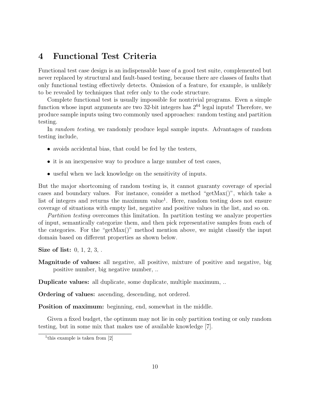## 4 Functional Test Criteria

Functional test case design is an indispensable base of a good test suite, complemented but never replaced by structural and fault-based testing, because there are classes of faults that only functional testing effectively detects. Omission of a feature, for example, is unlikely to be revealed by techniques that refer only to the code structure.

Complete functional test is usually impossible for nontrivial programs. Even a simple function whose input arguments are two 32-bit integers has  $2^{64}$  legal inputs! Therefore, we produce sample inputs using two commonly used approaches: random testing and partition testing.

In random testing, we randomly produce legal sample inputs. Advantages of random testing include,

- avoids accidental bias, that could be fed by the testers,
- it is an inexpensive way to produce a large number of test cases,
- useful when we lack knowledge on the sensitivity of inputs.

But the major shortcoming of random testing is, it cannot guaranty coverage of special cases and boundary values. For instance, consider a method "getMax()", which take a list of integers and returns the maximum value<sup>1</sup>. Here, random testing does not ensure coverage of situations with empty list, negative and positive values in the list, and so on.

Partition testing overcomes this limitation. In partition testing we analyze properties of input, semantically categorize them, and then pick representative samples from each of the categories. For the "getMax()" method mention above, we might classify the input domain based on different properties as shown below.

Size of list: 0, 1, 2, 3, .

Magnitude of values: all negative, all positive, mixture of positive and negative, big positive number, big negative number, ..

Duplicate values: all duplicate, some duplicate, multiple maximum, ..

Ordering of values: ascending, descending, not ordered.

Position of maximum: beginning, end, somewhat in the middle.

Given a fixed budget, the optimum may not lie in only partition testing or only random testing, but in some mix that makes use of available knowledge [7].

<sup>&</sup>lt;sup>1</sup>this example is taken from [2]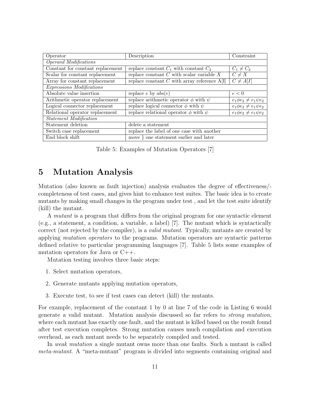| Operator                          | Description                                      | Constraint                     |  |  |  |  |  |
|-----------------------------------|--------------------------------------------------|--------------------------------|--|--|--|--|--|
| Operand Modifications             |                                                  |                                |  |  |  |  |  |
| Constant for constant replacement | replace constant $C_1$ with constant $C_2$       | $C_1 \neq C_2$                 |  |  |  |  |  |
| Scalar for constant replacement   | replace constant $C$ with scalar variable $X$    | $C \neq X$                     |  |  |  |  |  |
| Array for constant replacement    | replace constant $C$ with array reference $A[I]$ | $C \neq A[I]$                  |  |  |  |  |  |
| Expressions Modifications         |                                                  |                                |  |  |  |  |  |
| Absolute value insertion          | replace $e$ by $abs(e)$                          | e < 0                          |  |  |  |  |  |
| Arithmetic operator replacement   | replace arithmetic operator $\phi$ with $\psi$   | $e_1\phi e_2 \neq e_1\psi e_2$ |  |  |  |  |  |
| Logical connector replacement     | replace logical connector $\phi$ with $\psi$     | $e_1\phi e_2 \neq e_1\psi e_2$ |  |  |  |  |  |
| Relational operator replacement   | replace relational operator $\phi$ with $\psi$   | $e_1\phi e_2 \neq e_1\psi e_2$ |  |  |  |  |  |
| Statement Modification            |                                                  |                                |  |  |  |  |  |
| Statement deletion                | delete a statement                               |                                |  |  |  |  |  |
| Switch case replacement           | replace the label of one case with another       |                                |  |  |  |  |  |
| End block shift                   | move } one statement earlier and later           |                                |  |  |  |  |  |

Table 5: Examples of Mutation Operators [7]

### 5 Mutation Analysis

Mutation (also known as fault injection) analysis evaluates the degree of effectiveness/ completeness of test cases, and gives hint to enhance test suites. The basic idea is to create mutants by making small changes in the program under test , and let the test suite identify (kill) the mutant.

A mutant is a program that differs from the original program for one syntactic element (e.g., a statement, a condition, a variable, a label) [7]. The mutant which is syntactically correct (not rejected by the compiler), is a valid mutant. Typically, mutants are created by applying mutation operators to the programs. Mutation operators are syntactic patterns defined relative to particular programming languages [7]. Table 5 lists some examples of mutation operators for Java or C++.

Mutation testing involves three basic steps:

- 1. Select mutation operators,
- 2. Generate mutants applying mutation operators,
- 3. Execute test, to see if test cases can detect (kill) the mutants.

For example, replacement of the constant 1 by 0 at line 7 of the code in Listing 6 would generate a valid mutant. Mutation analysis discussed so far refers to strong mutation, where each mutant has exactly one fault, and the mutant is killed based on the result found after test execution completes. Strong mutation causes much compilation and execution overhead, as each mutant needs to be separately compiled and tested.

In weak mutation a single mutant owns more than one faults. Such a mutant is called meta-mutant. A "meta-mutant" program is divided into segments containing original and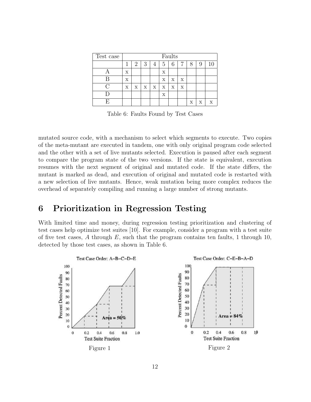| Test case | Faults |   |   |   |             |   |             |   |   |   |
|-----------|--------|---|---|---|-------------|---|-------------|---|---|---|
|           |        | 2 | 3 | 4 | 5           | 6 |             | 8 | 9 |   |
|           | х      |   |   |   | Х           |   |             |   |   |   |
|           | Х      |   |   |   | X           | X | $\mathbf x$ |   |   |   |
|           | х      | X | X | X | $\mathbf x$ | X | Х           |   |   |   |
|           |        |   |   |   | Х           |   |             |   |   |   |
|           |        |   |   |   |             |   |             | х | х | X |

Table 6: Faults Found by Test Cases

mutated source code, with a mechanism to select which segments to execute. Two copies of the meta-mutant are executed in tandem, one with only original program code selected and the other with a set of live mutants selected. Execution is paused after each segment to compare the program state of the two versions. If the state is equivalent, execution resumes with the next segment of original and mutated code. If the state differs, the mutant is marked as dead, and execution of original and mutated code is restarted with a new selection of live mutants. Hence, weak mutation being more complex reduces the overhead of separately compiling and running a large number of strong mutants.

## 6 Prioritization in Regression Testing

With limited time and money, during regression testing prioritization and clustering of test cases help optimize test suites [10]. For example, consider a program with a test suite of five test cases, *A* through *E*, such that the program contains ten faults, 1 through 10, detected by those test cases, as shown in Table 6.

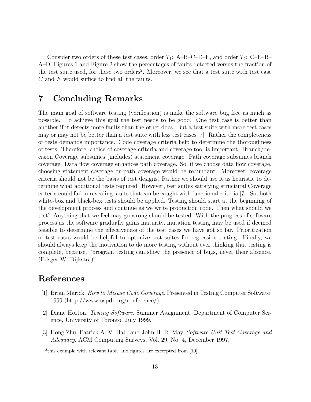Consider two orders of these test cases, order  $T_1$ : A–B–C–D–E, and order  $T_2$ : C–E–B– A–D. Figures 1 and Figure 2 show the percentages of faults detected versus the fraction of the test suite used, for these two orders<sup>2</sup>. Moreover, we see that a test suite with test case *C* and *E* would suffice to find all the faults.

## 7 Concluding Remarks

The main goal of software testing (verification) is make the software bug free as much as possible. To achieve this goal the test needs to be good. One test case is better than another if it detects more faults than the other does. But a test suite with more test cases may or may not be better than a test suite with less test cases [7]. Rather the completeness of tests demands importance. Code coverage criteria help to determine the thoroughness of tests. Therefore, choice of coverage criteria and coverage tool is important. Branch/decision Coverage subsumes (includes) statement coverage. Path coverage subsumes branch coverage. Data flow coverage enhances path coverage. So, if we choose data flow coverage, choosing statement coverage or path coverage would be redundant. Moreover, coverage criteria should not be the basis of test designs. Rather we should use it as heuristic to determine what additional tests required. However, test suites satisfying structural Coverage criteria could fail in revealing faults that can be caught with functional criteria [7]. So, both white-box and black-box tests should be applied. Testing should start at the beginning of the development process and continue as we write production code. Then what should we test? Anything that we feel may go wrong should be tested. With the progress of software process as the software gradually gains maturity, mutation testing may be used if deemed feasible to determine the effectiveness of the test cases we have got so far. Prioritization of test cases would be helpful to optimize test suites for regression testing. Finally, we should always keep the motivation to do more testing without ever thinking that testing is complete, because, "program testing can show the presence of bugs, never their absence. (Edsger W. Dijkstra)".

## References

- [1] Brian Marick. How to Misuse Code Coverage. Presented in Testing Computer Softwate' 1999 (http://www.uspdi.org/conference/).
- [2] Diane Horton. Testing Software. Summer Assignment, Department of Computer Science, University of Toronto. July 1999.
- [3] Hong Zhu, Patrick A. V. Hall, and John H. R. May. Software Unit Test Coverage and Adequacy. ACM Computing Surveys, Vol. 29, No. 4, December 1997.

<sup>&</sup>lt;sup>2</sup>this example with relevant table and figures are excerpted from [10]